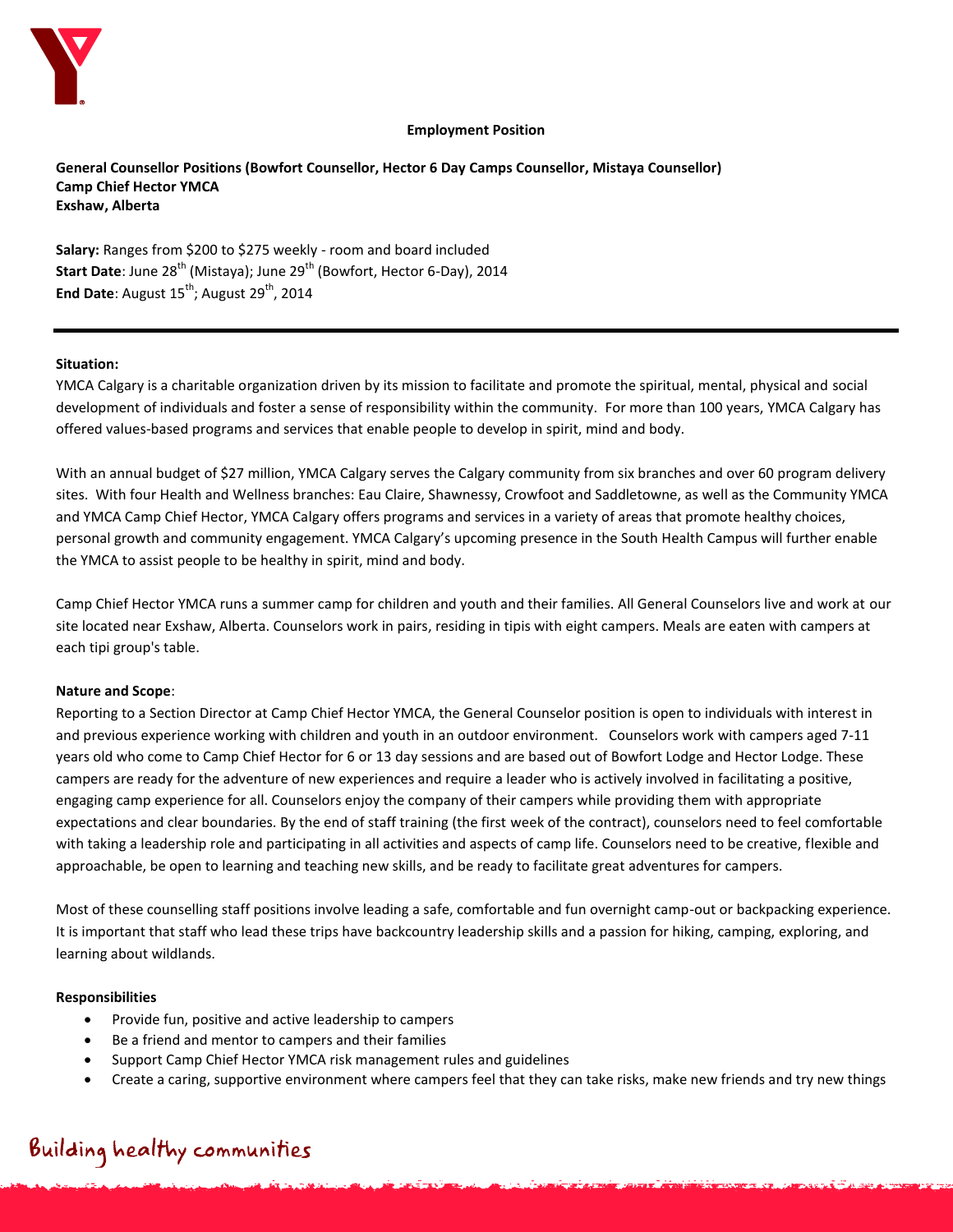

#### **Employment Position**

**General Counsellor Positions (Bowfort Counsellor, Hector 6 Day Camps Counsellor, Mistaya Counsellor) Camp Chief Hector YMCA Exshaw, Alberta**

**Salary:** Ranges from \$200 to \$275 weekly - room and board included **Start Date: June 28<sup>th</sup> (Mistaya); June 29<sup>th</sup> (Bowfort, Hector 6-Day), 2014 End Date**: August 15<sup>th</sup>; August 29<sup>th</sup>, 2014

#### **Situation:**

YMCA Calgary is a charitable organization driven by its mission to facilitate and promote the spiritual, mental, physical and social development of individuals and foster a sense of responsibility within the community. For more than 100 years, YMCA Calgary has offered values-based programs and services that enable people to develop in spirit, mind and body.

With an annual budget of \$27 million, YMCA Calgary serves the Calgary community from six branches and over 60 program delivery sites. With four Health and Wellness branches: Eau Claire, Shawnessy, Crowfoot and Saddletowne, as well as the Community YMCA and YMCA Camp Chief Hector, YMCA Calgary offers programs and services in a variety of areas that promote healthy choices, personal growth and community engagement. YMCA Calgary's upcoming presence in the South Health Campus will further enable the YMCA to assist people to be healthy in spirit, mind and body.

Camp Chief Hector YMCA runs a summer camp for children and youth and their families. All General Counselors live and work at our site located near Exshaw, Alberta. Counselors work in pairs, residing in tipis with eight campers. Meals are eaten with campers at each tipi group's table.

#### **Nature and Scope**:

Reporting to a Section Director at Camp Chief Hector YMCA, the General Counselor position is open to individuals with interest in and previous experience working with children and youth in an outdoor environment. Counselors work with campers aged 7-11 years old who come to Camp Chief Hector for 6 or 13 day sessions and are based out of Bowfort Lodge and Hector Lodge. These campers are ready for the adventure of new experiences and require a leader who is actively involved in facilitating a positive, engaging camp experience for all. Counselors enjoy the company of their campers while providing them with appropriate expectations and clear boundaries. By the end of staff training (the first week of the contract), counselors need to feel comfortable with taking a leadership role and participating in all activities and aspects of camp life. Counselors need to be creative, flexible and approachable, be open to learning and teaching new skills, and be ready to facilitate great adventures for campers.

Most of these counselling staff positions involve leading a safe, comfortable and fun overnight camp-out or backpacking experience. It is important that staff who lead these trips have backcountry leadership skills and a passion for hiking, camping, exploring, and learning about wildlands.

#### **Responsibilities**

- Provide fun, positive and active leadership to campers
- Be a friend and mentor to campers and their families
- Support Camp Chief Hector YMCA risk management rules and guidelines
- Create a caring, supportive environment where campers feel that they can take risks, make new friends and try new things

# Building healthy communities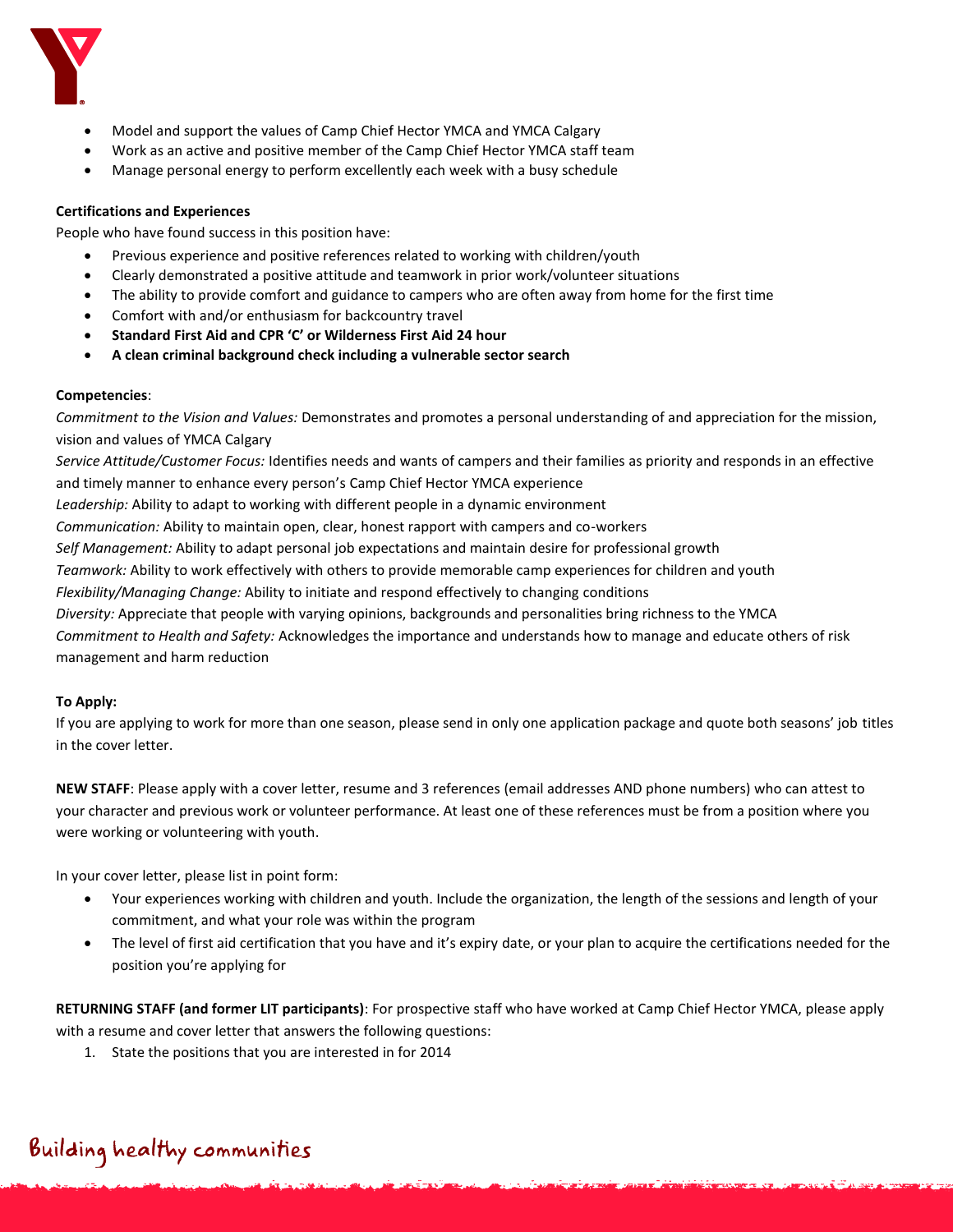

- Model and support the values of Camp Chief Hector YMCA and YMCA Calgary
- Work as an active and positive member of the Camp Chief Hector YMCA staff team
- Manage personal energy to perform excellently each week with a busy schedule

## **Certifications and Experiences**

People who have found success in this position have:

- Previous experience and positive references related to working with children/youth
- Clearly demonstrated a positive attitude and teamwork in prior work/volunteer situations
- The ability to provide comfort and guidance to campers who are often away from home for the first time
- Comfort with and/or enthusiasm for backcountry travel
- **Standard First Aid and CPR 'C' or Wilderness First Aid 24 hour**
- **A clean criminal background check including a vulnerable sector search**

## **Competencies**:

*Commitment to the Vision and Values:* Demonstrates and promotes a personal understanding of and appreciation for the mission, vision and values of YMCA Calgary

*Service Attitude/Customer Focus:* Identifies needs and wants of campers and their families as priority and responds in an effective and timely manner to enhance every person's Camp Chief Hector YMCA experience

*Leadership:* Ability to adapt to working with different people in a dynamic environment

*Communication:* Ability to maintain open, clear, honest rapport with campers and co-workers

*Self Management:* Ability to adapt personal job expectations and maintain desire for professional growth

*Teamwork:* Ability to work effectively with others to provide memorable camp experiences for children and youth

*Flexibility/Managing Change:* Ability to initiate and respond effectively to changing conditions

*Diversity:* Appreciate that people with varying opinions, backgrounds and personalities bring richness to the YMCA

*Commitment to Health and Safety:* Acknowledges the importance and understands how to manage and educate others of risk management and harm reduction

## **To Apply:**

If you are applying to work for more than one season, please send in only one application package and quote both seasons' job titles in the cover letter.

**NEW STAFF**: Please apply with a cover letter, resume and 3 references (email addresses AND phone numbers) who can attest to your character and previous work or volunteer performance. At least one of these references must be from a position where you were working or volunteering with youth.

In your cover letter, please list in point form:

- Your experiences working with children and youth. Include the organization, the length of the sessions and length of your commitment, and what your role was within the program
- The level of first aid certification that you have and it's expiry date, or your plan to acquire the certifications needed for the position you're applying for

**RETURNING STAFF (and former LIT participants)**: For prospective staff who have worked at Camp Chief Hector YMCA, please apply with a resume and cover letter that answers the following questions:

1. State the positions that you are interested in for 2014

# Building healthy communities